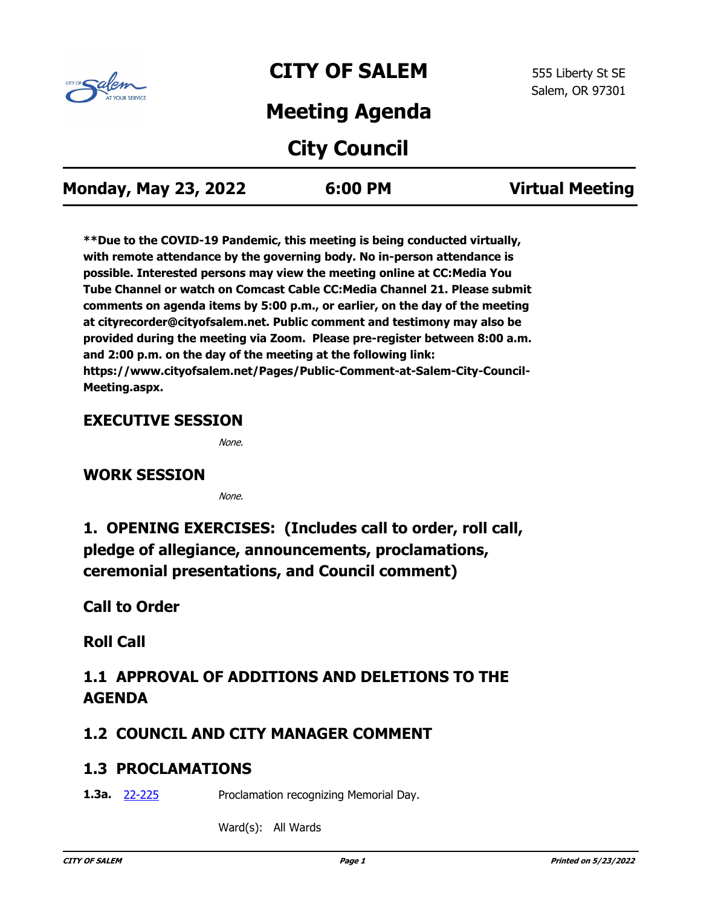

# **CITY OF SALEM**

# **Meeting Agenda**

# **City Council**

| <b>Monday, May 23, 2022</b> | 6:00 PM | <b>Virtual Meeting</b> |
|-----------------------------|---------|------------------------|
|-----------------------------|---------|------------------------|

**\*\*Due to the COVID-19 Pandemic, this meeting is being conducted virtually, with remote attendance by the governing body. No in-person attendance is possible. Interested persons may view the meeting online at CC:Media You Tube Channel or watch on Comcast Cable CC:Media Channel 21. Please submit comments on agenda items by 5:00 p.m., or earlier, on the day of the meeting at cityrecorder@cityofsalem.net. Public comment and testimony may also be provided during the meeting via Zoom. Please pre-register between 8:00 a.m. and 2:00 p.m. on the day of the meeting at the following link: https://www.cityofsalem.net/Pages/Public-Comment-at-Salem-City-Council-Meeting.aspx.**

### **EXECUTIVE SESSION**

None.

### **WORK SESSION**

None.

**1. OPENING EXERCISES: (Includes call to order, roll call, pledge of allegiance, announcements, proclamations, ceremonial presentations, and Council comment)**

**Call to Order**

**Roll Call**

## **1.1 APPROVAL OF ADDITIONS AND DELETIONS TO THE AGENDA**

### **1.2 COUNCIL AND CITY MANAGER COMMENT**

### **1.3 PROCLAMATIONS**

Proclamation recognizing Memorial Day. **1.3a.** [22-225](http://salem.legistar.com/gateway.aspx?m=l&id=/matter.aspx?key=6086)

Ward(s): All Wards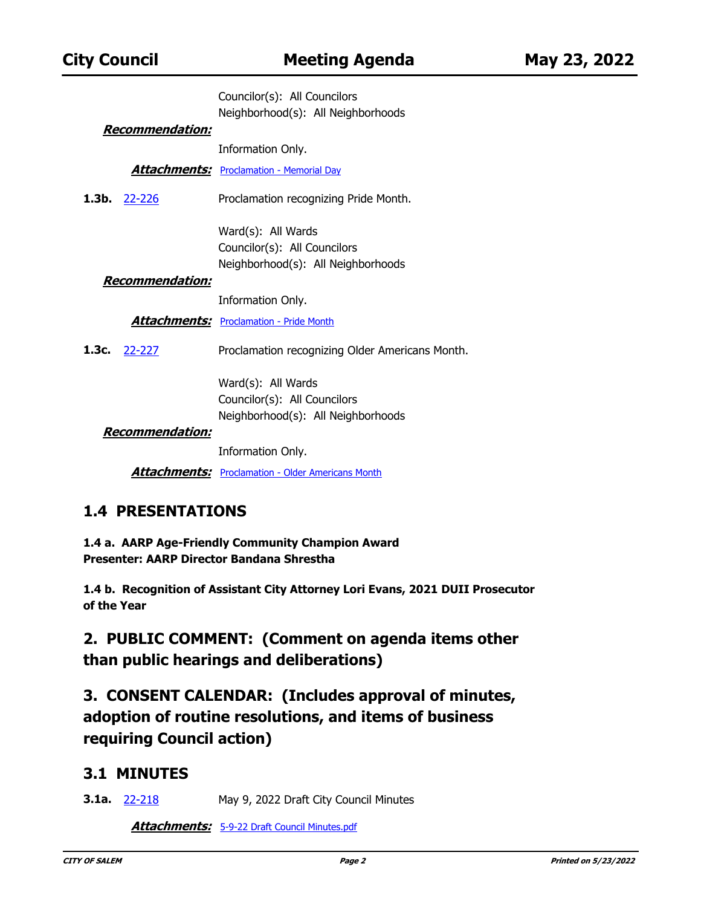|                         | Councilor(s): All Councilors                             |
|-------------------------|----------------------------------------------------------|
|                         | Neighborhood(s): All Neighborhoods                       |
| <u> Recommendation:</u> |                                                          |
|                         | Information Only.                                        |
|                         | <b>Attachments:</b> Proclamation - Memorial Day          |
| <b>1.3b.</b> $22-226$   | Proclamation recognizing Pride Month.                    |
|                         | Ward(s): All Wards                                       |
|                         | Councilor(s): All Councilors                             |
|                         | Neighborhood(s): All Neighborhoods                       |
| <u> Recommendation:</u> |                                                          |
|                         | Information Only.                                        |
|                         | <b>Attachments:</b> Proclamation - Pride Month           |
| 1.3c. $22-227$          | Proclamation recognizing Older Americans Month.          |
|                         | Ward(s): All Wards                                       |
|                         | Councilor(s): All Councilors                             |
|                         | Neighborhood(s): All Neighborhoods                       |
| <u> Recommendation:</u> |                                                          |
|                         | Information Only.                                        |
|                         | <b>Attachments:</b> Proclamation - Older Americans Month |

### **1.4 PRESENTATIONS**

**1.4 a. AARP Age-Friendly Community Champion Award Presenter: AARP Director Bandana Shrestha**

**1.4 b. Recognition of Assistant City Attorney Lori Evans, 2021 DUII Prosecutor of the Year**

**2. PUBLIC COMMENT: (Comment on agenda items other than public hearings and deliberations)**

**3. CONSENT CALENDAR: (Includes approval of minutes, adoption of routine resolutions, and items of business requiring Council action)**

### **3.1 MINUTES**

**3.1a. [22-218](http://salem.legistar.com/gateway.aspx?m=l&id=/matter.aspx?key=6079)** May 9, 2022 Draft City Council Minutes

**Attachments:** [5-9-22 Draft Council Minutes.pdf](http://salem.legistar.com/gateway.aspx?M=F&ID=91e0c789-0166-4eb4-8a4a-d3fa6cc487cf.pdf)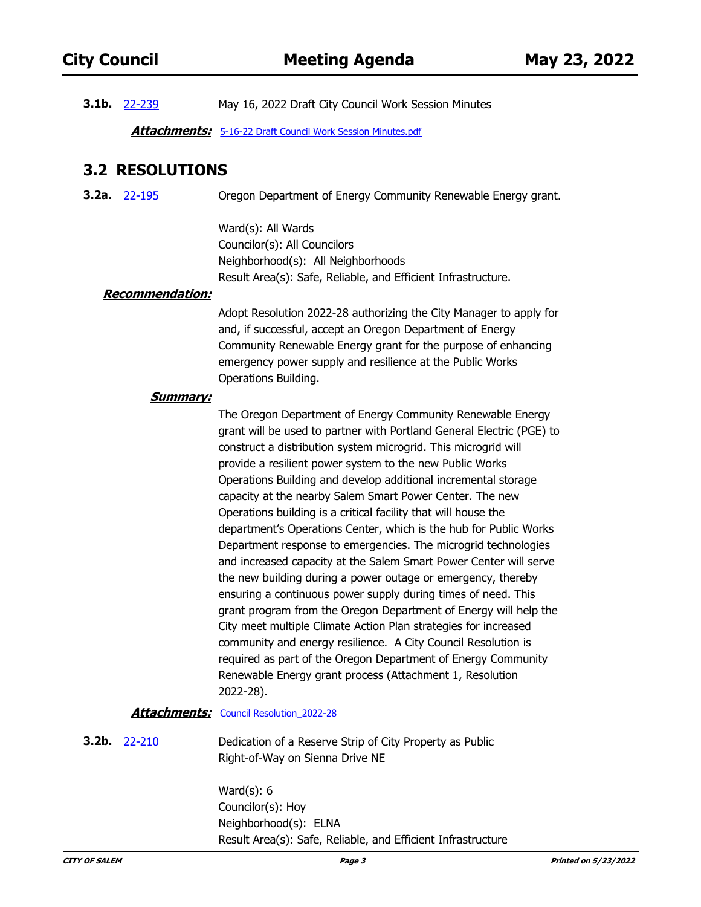**3.1b.** [22-239](http://salem.legistar.com/gateway.aspx?m=l&id=/matter.aspx?key=6100) May 16, 2022 Draft City Council Work Session Minutes

**Attachments:** [5-16-22 Draft Council Work Session Minutes.pdf](http://salem.legistar.com/gateway.aspx?M=F&ID=14009450-d28f-484d-a719-a1e8a3176e9e.pdf)

### **3.2 RESOLUTIONS**

Oregon Department of Energy Community Renewable Energy grant. **3.2a.** [22-195](http://salem.legistar.com/gateway.aspx?m=l&id=/matter.aspx?key=6056)

> Ward(s): All Wards Councilor(s): All Councilors Neighborhood(s): All Neighborhoods Result Area(s): Safe, Reliable, and Efficient Infrastructure.

#### **Recommendation:**

Adopt Resolution 2022-28 authorizing the City Manager to apply for and, if successful, accept an Oregon Department of Energy Community Renewable Energy grant for the purpose of enhancing emergency power supply and resilience at the Public Works Operations Building.

#### **Summary:**

The Oregon Department of Energy Community Renewable Energy grant will be used to partner with Portland General Electric (PGE) to construct a distribution system microgrid. This microgrid will provide a resilient power system to the new Public Works Operations Building and develop additional incremental storage capacity at the nearby Salem Smart Power Center. The new Operations building is a critical facility that will house the department's Operations Center, which is the hub for Public Works Department response to emergencies. The microgrid technologies and increased capacity at the Salem Smart Power Center will serve the new building during a power outage or emergency, thereby ensuring a continuous power supply during times of need. This grant program from the Oregon Department of Energy will help the City meet multiple Climate Action Plan strategies for increased community and energy resilience. A City Council Resolution is required as part of the Oregon Department of Energy Community Renewable Energy grant process (Attachment 1, Resolution 2022-28).

#### Attachments: Council Resolution 2022-28

Dedication of a Reserve Strip of City Property as Public Right-of-Way on Sienna Drive NE **3.2b.** [22-210](http://salem.legistar.com/gateway.aspx?m=l&id=/matter.aspx?key=6071)

> Ward(s): 6 Councilor(s): Hoy Neighborhood(s): ELNA Result Area(s): Safe, Reliable, and Efficient Infrastructure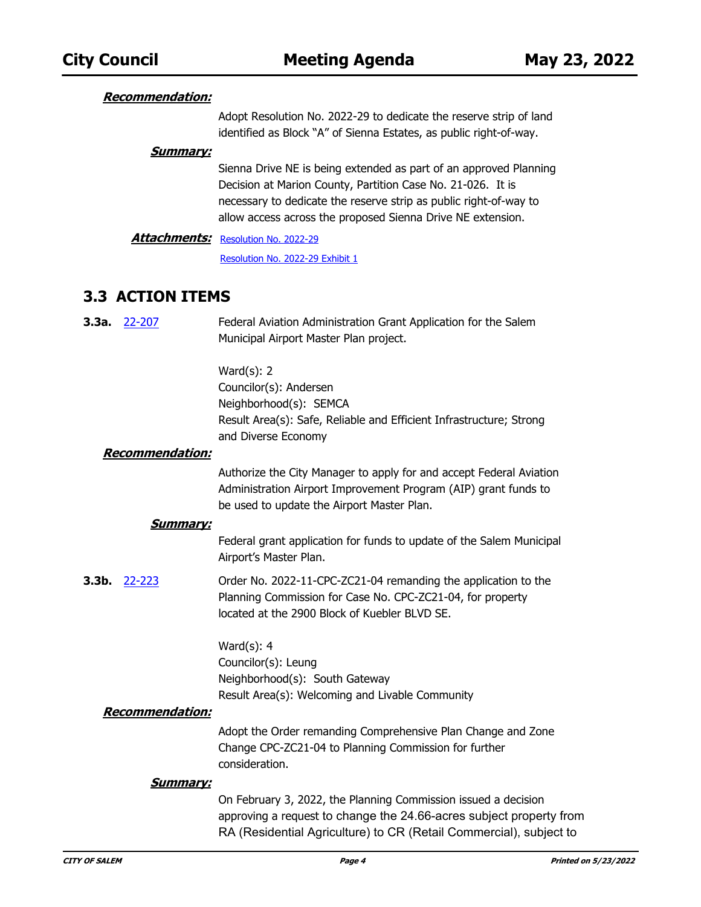#### **Recommendation:**

Adopt Resolution No. 2022-29 to dedicate the reserve strip of land identified as Block "A" of Sienna Estates, as public right-of-way.

#### **Summary:**

Sienna Drive NE is being extended as part of an approved Planning Decision at Marion County, Partition Case No. 21-026. It is necessary to dedicate the reserve strip as public right-of-way to allow access across the proposed Sienna Drive NE extension.

#### [Resolution No. 2022-29](http://salem.legistar.com/gateway.aspx?M=F&ID=86540961-7553-4af1-8411-aba176d45848.docx) **Attachments:**

[Resolution No. 2022-29 Exhibit 1](http://salem.legistar.com/gateway.aspx?M=F&ID=37327cac-b55d-438c-a469-5de7746bc57f.pdf)

### **3.3 ACTION ITEMS**

| $3.3a.$ 22-207 | Federal Aviation Administration Grant Application for the Salem |
|----------------|-----------------------------------------------------------------|
|                | Municipal Airport Master Plan project.                          |

Ward(s): 2 Councilor(s): Andersen Neighborhood(s): SEMCA Result Area(s): Safe, Reliable and Efficient Infrastructure; Strong and Diverse Economy

#### **Recommendation:**

Authorize the City Manager to apply for and accept Federal Aviation Administration Airport Improvement Program (AIP) grant funds to be used to update the Airport Master Plan.

#### **Summary:**

Federal grant application for funds to update of the Salem Municipal Airport's Master Plan.

Order No. 2022-11-CPC-ZC21-04 remanding the application to the Planning Commission for Case No. CPC-ZC21-04, for property located at the 2900 Block of Kuebler BLVD SE. **3.3b.** [22-223](http://salem.legistar.com/gateway.aspx?m=l&id=/matter.aspx?key=6084)

> Ward(s): 4 Councilor(s): Leung Neighborhood(s): South Gateway Result Area(s): Welcoming and Livable Community

#### **Recommendation:**

Adopt the Order remanding Comprehensive Plan Change and Zone Change CPC-ZC21-04 to Planning Commission for further consideration.

#### **Summary:**

On February 3, 2022, the Planning Commission issued a decision approving a request to change the 24.66-acres subject property from RA (Residential Agriculture) to CR (Retail Commercial), subject to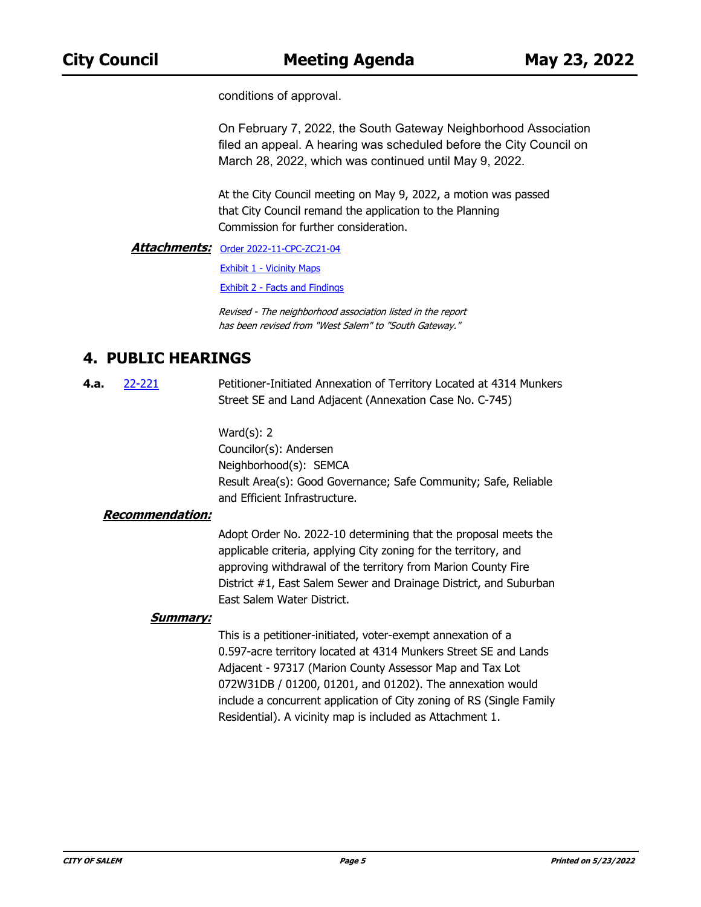conditions of approval.

On February 7, 2022, the South Gateway Neighborhood Association filed an appeal. A hearing was scheduled before the City Council on March 28, 2022, which was continued until May 9, 2022.

At the City Council meeting on May 9, 2022, a motion was passed that City Council remand the application to the Planning Commission for further consideration.

**Attachments: [Order 2022-11-CPC-ZC21-04](http://salem.legistar.com/gateway.aspx?M=F&ID=26c7bda4-fcff-4101-965b-fe316a8af8c2.docx)** 

[Exhibit 1 - Vicinity Maps](http://salem.legistar.com/gateway.aspx?M=F&ID=194847b2-75ef-4c40-8ce6-e461b79fc147.pdf)

[Exhibit 2 - Facts and Findings](http://salem.legistar.com/gateway.aspx?M=F&ID=fcab8c4c-fa51-4a4b-97df-d3a9178b91ba.docx)

Revised - The neighborhood association listed in the report has been revised from "West Salem" to "South Gateway."

### **4. PUBLIC HEARINGS**

Petitioner-Initiated Annexation of Territory Located at 4314 Munkers Street SE and Land Adjacent (Annexation Case No. C-745) **4.a.** [22-221](http://salem.legistar.com/gateway.aspx?m=l&id=/matter.aspx?key=6082)

> Ward(s): 2 Councilor(s): Andersen Neighborhood(s): SEMCA Result Area(s): Good Governance; Safe Community; Safe, Reliable and Efficient Infrastructure.

#### **Recommendation:**

Adopt Order No. 2022-10 determining that the proposal meets the applicable criteria, applying City zoning for the territory, and approving withdrawal of the territory from Marion County Fire District #1, East Salem Sewer and Drainage District, and Suburban East Salem Water District.

#### **Summary:**

This is a petitioner-initiated, voter-exempt annexation of a 0.597-acre territory located at 4314 Munkers Street SE and Lands Adjacent - 97317 (Marion County Assessor Map and Tax Lot 072W31DB / 01200, 01201, and 01202). The annexation would include a concurrent application of City zoning of RS (Single Family Residential). A vicinity map is included as Attachment 1.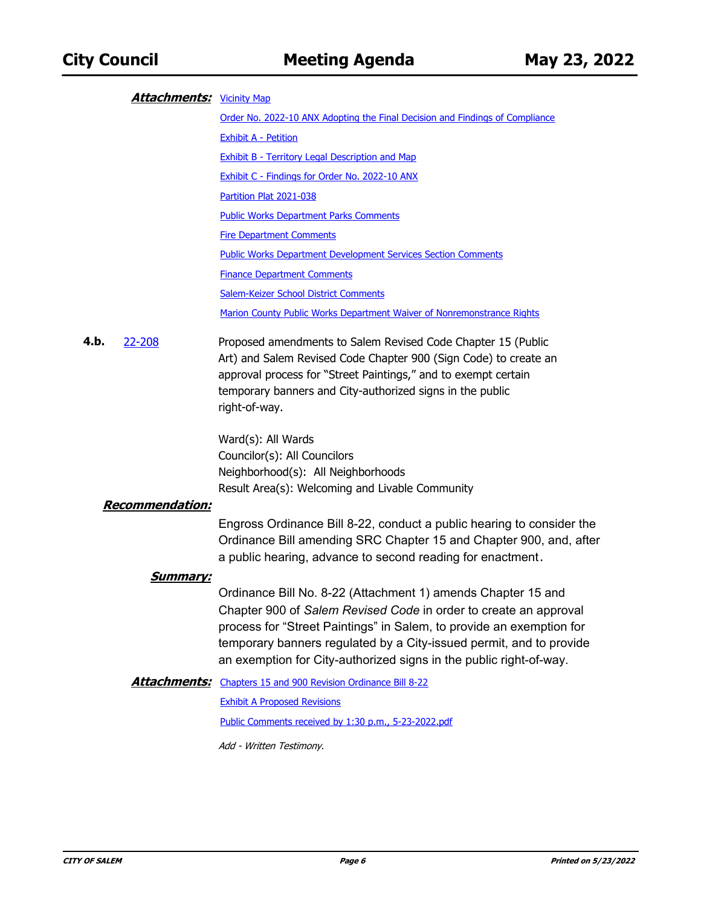#### **Attachments:** <u>[Vicinity Map](http://salem.legistar.com/gateway.aspx?M=F&ID=c0b8b622-9e50-4b83-a764-dfa3e80cbbf8.pdf)</u>

[Order No. 2022-10 ANX Adopting the Final Decision and Findings of Compliance](http://salem.legistar.com/gateway.aspx?M=F&ID=fa0e408d-4c64-4d04-a8b2-b8522c7da9ce.doc) [Exhibit A - Petition](http://salem.legistar.com/gateway.aspx?M=F&ID=7aa06139-0201-49be-92e0-4eded5d8a17b.pdf) [Exhibit B - Territory Legal Description and Map](http://salem.legistar.com/gateway.aspx?M=F&ID=b9678dfe-511c-4795-93a2-c8695c4732f6.pdf) [Exhibit C - Findings for Order No. 2022-10 ANX](http://salem.legistar.com/gateway.aspx?M=F&ID=22983c6d-f5d1-4bff-97ca-a157623f974c.doc) [Partition Plat 2021-038](http://salem.legistar.com/gateway.aspx?M=F&ID=1f257012-ab84-4acd-b8ee-6111c8577221.pdf) [Public Works Department Parks Comments](http://salem.legistar.com/gateway.aspx?M=F&ID=4af644af-6713-4908-b92c-5f6b4fcc5724.pdf) [Fire Department Comments](http://salem.legistar.com/gateway.aspx?M=F&ID=353c8f13-e64b-4406-84dc-d97d385b0b7f.pdf) [Public Works Department Development Services Section Comments](http://salem.legistar.com/gateway.aspx?M=F&ID=9f9a7580-4f5b-40ba-94b2-2a68d28f5261.pdf) [Finance Department Comments](http://salem.legistar.com/gateway.aspx?M=F&ID=161b0425-080b-408c-8f86-e6c83b14705e.pdf) [Salem-Keizer School District Comments](http://salem.legistar.com/gateway.aspx?M=F&ID=5fbac0e1-9b20-433c-bc18-6f68cb788d05.pdf) [Marion County Public Works Department Waiver of Nonremonstrance Rights](http://salem.legistar.com/gateway.aspx?M=F&ID=197cf1e0-970d-4d37-a380-63b4cc76809b.pdf)

Proposed amendments to Salem Revised Code Chapter 15 (Public Art) and Salem Revised Code Chapter 900 (Sign Code) to create an approval process for "Street Paintings," and to exempt certain temporary banners and City-authorized signs in the public right-of-way. **4.b.** [22-208](http://salem.legistar.com/gateway.aspx?m=l&id=/matter.aspx?key=6069)

> Ward(s): All Wards Councilor(s): All Councilors Neighborhood(s): All Neighborhoods Result Area(s): Welcoming and Livable Community

#### **Recommendation:**

Engross Ordinance Bill 8-22, conduct a public hearing to consider the Ordinance Bill amending SRC Chapter 15 and Chapter 900, and, after a public hearing, advance to second reading for enactment.

#### **Summary:**

Ordinance Bill No. 8-22 (Attachment 1) amends Chapter 15 and Chapter 900 of *Salem Revised Code* in order to create an approval process for "Street Paintings" in Salem, to provide an exemption for temporary banners regulated by a City-issued permit, and to provide an exemption for City-authorized signs in the public right-of-way.

**Attachments:** [Chapters 15 and 900 Revision Ordinance Bill 8-22](http://salem.legistar.com/gateway.aspx?M=F&ID=97d88d2e-c47d-4fa4-b13e-ad049cad9137.docx)

[Exhibit A Proposed Revisions](http://salem.legistar.com/gateway.aspx?M=F&ID=21ed9579-ad57-4b81-9cd0-089ea7b1d593.doc)

[Public Comments received by 1:30 p.m., 5-23-2022.pdf](http://salem.legistar.com/gateway.aspx?M=F&ID=594cdc4a-9f99-43a6-bd96-7ad77eebfb7d.pdf)

Add - Written Testimony.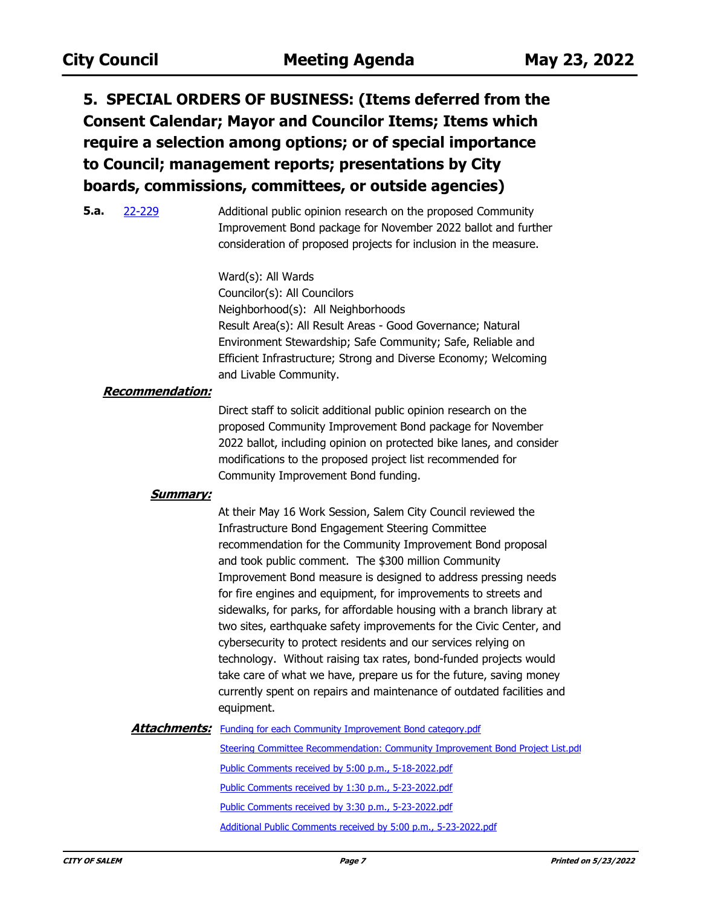**5. SPECIAL ORDERS OF BUSINESS: (Items deferred from the Consent Calendar; Mayor and Councilor Items; Items which require a selection among options; or of special importance to Council; management reports; presentations by City boards, commissions, committees, or outside agencies)**

Additional public opinion research on the proposed Community Improvement Bond package for November 2022 ballot and further consideration of proposed projects for inclusion in the measure. **5.a.** [22-229](http://salem.legistar.com/gateway.aspx?m=l&id=/matter.aspx?key=6090)

> Ward(s): All Wards Councilor(s): All Councilors Neighborhood(s): All Neighborhoods Result Area(s): All Result Areas - Good Governance; Natural Environment Stewardship; Safe Community; Safe, Reliable and Efficient Infrastructure; Strong and Diverse Economy; Welcoming and Livable Community.

#### **Recommendation:**

Direct staff to solicit additional public opinion research on the proposed Community Improvement Bond package for November 2022 ballot, including opinion on protected bike lanes, and consider modifications to the proposed project list recommended for Community Improvement Bond funding.

#### **Summary:**

At their May 16 Work Session, Salem City Council reviewed the Infrastructure Bond Engagement Steering Committee recommendation for the Community Improvement Bond proposal and took public comment. The \$300 million Community Improvement Bond measure is designed to address pressing needs for fire engines and equipment, for improvements to streets and sidewalks, for parks, for affordable housing with a branch library at two sites, earthquake safety improvements for the Civic Center, and cybersecurity to protect residents and our services relying on technology. Without raising tax rates, bond-funded projects would take care of what we have, prepare us for the future, saving money currently spent on repairs and maintenance of outdated facilities and equipment.

**Attachments:** [Funding for each Community Improvement Bond category.pdf](http://salem.legistar.com/gateway.aspx?M=F&ID=4a319973-dbdc-4503-8898-a80f81359ca0.pdf)

[Steering Committee Recommendation: Community Improvement Bond Project List.pdf](http://salem.legistar.com/gateway.aspx?M=F&ID=36de4ba6-f584-497c-90fb-fee77d0f6eb8.pdf) [Public Comments received by 5:00 p.m., 5-18-2022.pdf](http://salem.legistar.com/gateway.aspx?M=F&ID=71b6c656-c1ec-4524-9727-495bb9ccf684.pdf) [Public Comments received by 1:30 p.m., 5-23-2022.pdf](http://salem.legistar.com/gateway.aspx?M=F&ID=211cb30b-1128-46f9-8af7-cfe8f2904d2c.pdf) [Public Comments received by 3:30 p.m., 5-23-2022.pdf](http://salem.legistar.com/gateway.aspx?M=F&ID=d3a31893-52f8-4ff8-a0d3-1fd77f15199a.pdf) [Additional Public Comments received by 5:00 p.m., 5-23-2022.pdf](http://salem.legistar.com/gateway.aspx?M=F&ID=28f78db5-e62f-4aec-8eec-2a9e6255f00d.pdf)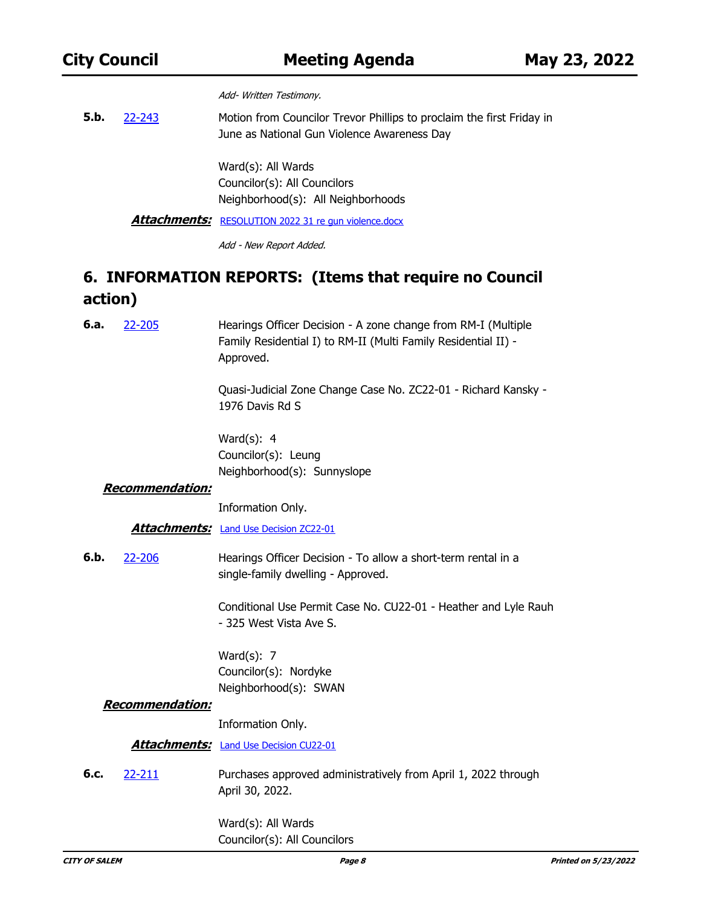Add- Written Testimony.

Motion from Councilor Trevor Phillips to proclaim the first Friday in June as National Gun Violence Awareness Day **5.b.** [22-243](http://salem.legistar.com/gateway.aspx?m=l&id=/matter.aspx?key=6104)

> Ward(s): All Wards Councilor(s): All Councilors Neighborhood(s): All Neighborhoods

Attachments: [RESOLUTION 2022 31 re gun violence.docx](http://salem.legistar.com/gateway.aspx?M=F&ID=60648b73-b4d1-4569-9956-b2370546f2b0.docx)

Add - New Report Added.

### **6. INFORMATION REPORTS: (Items that require no Council action)**

Hearings Officer Decision - A zone change from RM-I (Multiple Family Residential I) to RM-II (Multi Family Residential II) - Approved. **6.a.** [22-205](http://salem.legistar.com/gateway.aspx?m=l&id=/matter.aspx?key=6066)

> Quasi-Judicial Zone Change Case No. ZC22-01 - Richard Kansky - 1976 Davis Rd S

Ward(s): 4 Councilor(s): Leung Neighborhood(s): Sunnyslope

#### **Recommendation:**

Information Only.

**Attachments:** [Land Use Decision ZC22-01](http://salem.legistar.com/gateway.aspx?M=F&ID=e5e2e065-d745-49d2-acf3-212e64482f48.pdf)

Hearings Officer Decision - To allow a short-term rental in a single-family dwelling - Approved. **6.b.** [22-206](http://salem.legistar.com/gateway.aspx?m=l&id=/matter.aspx?key=6067)

> Conditional Use Permit Case No. CU22-01 - Heather and Lyle Rauh - 325 West Vista Ave S.

Ward(s): 7 Councilor(s): Nordyke Neighborhood(s): SWAN

#### **Recommendation:**

Information Only.

Attachments: [Land Use Decision CU22-01](http://salem.legistar.com/gateway.aspx?M=F&ID=84ee77a8-6795-4d65-a9ae-a5c820f2366a.pdf)

Purchases approved administratively from April 1, 2022 through April 30, 2022. **6.c.** [22-211](http://salem.legistar.com/gateway.aspx?m=l&id=/matter.aspx?key=6072)

> Ward(s): All Wards Councilor(s): All Councilors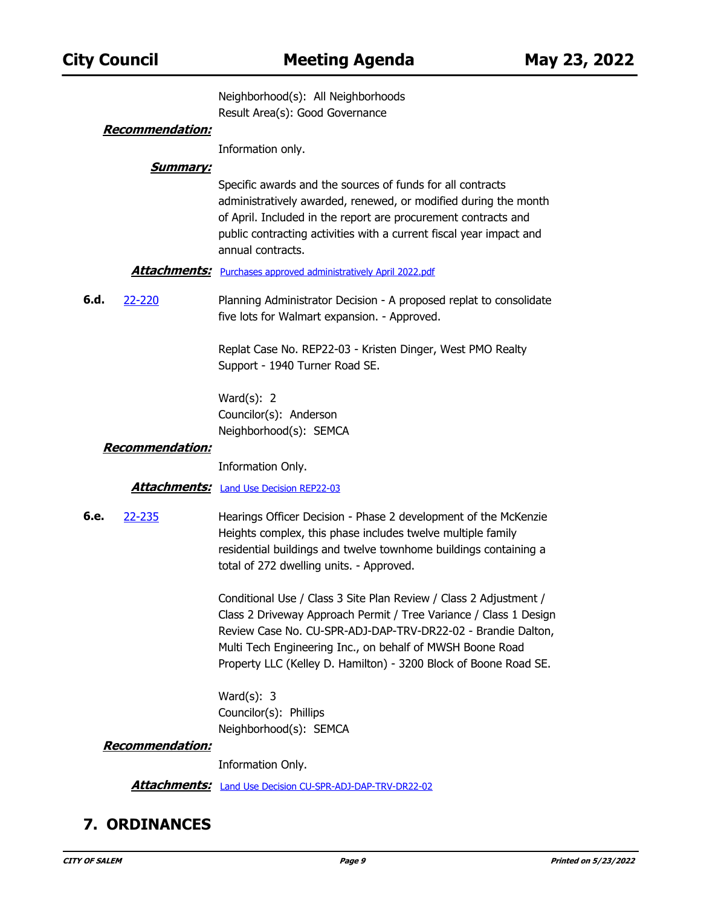Neighborhood(s): All Neighborhoods Result Area(s): Good Governance

#### **Recommendation:**

Information only.

#### **Summary:**

Specific awards and the sources of funds for all contracts administratively awarded, renewed, or modified during the month of April. Included in the report are procurement contracts and public contracting activities with a current fiscal year impact and annual contracts.

#### **Attachments:** [Purchases approved administratively April 2022.pdf](http://salem.legistar.com/gateway.aspx?M=F&ID=6e31d4ab-f3b5-4f72-a084-43a4f32b521a.pdf)

Planning Administrator Decision - A proposed replat to consolidate five lots for Walmart expansion. - Approved. **6.d.** [22-220](http://salem.legistar.com/gateway.aspx?m=l&id=/matter.aspx?key=6081)

> Replat Case No. REP22-03 - Kristen Dinger, West PMO Realty Support - 1940 Turner Road SE.

Ward(s): 2 Councilor(s): Anderson Neighborhood(s): SEMCA

#### **Recommendation:**

Information Only.

#### Attachments: [Land Use Decision REP22-03](http://salem.legistar.com/gateway.aspx?M=F&ID=de0b7193-329e-422f-814d-4c984f4ab1ac.pdf)

Hearings Officer Decision - Phase 2 development of the McKenzie Heights complex, this phase includes twelve multiple family residential buildings and twelve townhome buildings containing a total of 272 dwelling units. - Approved. **6.e.** [22-235](http://salem.legistar.com/gateway.aspx?m=l&id=/matter.aspx?key=6096)

> Conditional Use / Class 3 Site Plan Review / Class 2 Adjustment / Class 2 Driveway Approach Permit / Tree Variance / Class 1 Design Review Case No. CU-SPR-ADJ-DAP-TRV-DR22-02 - Brandie Dalton, Multi Tech Engineering Inc., on behalf of MWSH Boone Road Property LLC (Kelley D. Hamilton) - 3200 Block of Boone Road SE.

Ward(s): 3 Councilor(s): Phillips Neighborhood(s): SEMCA

#### **Recommendation:**

Information Only.

**Attachments:** [Land Use Decision CU-SPR-ADJ-DAP-TRV-DR22-02](http://salem.legistar.com/gateway.aspx?M=F&ID=0a950f5a-f1e1-4357-b363-8d42433fe30a.pdf)

### **7. ORDINANCES**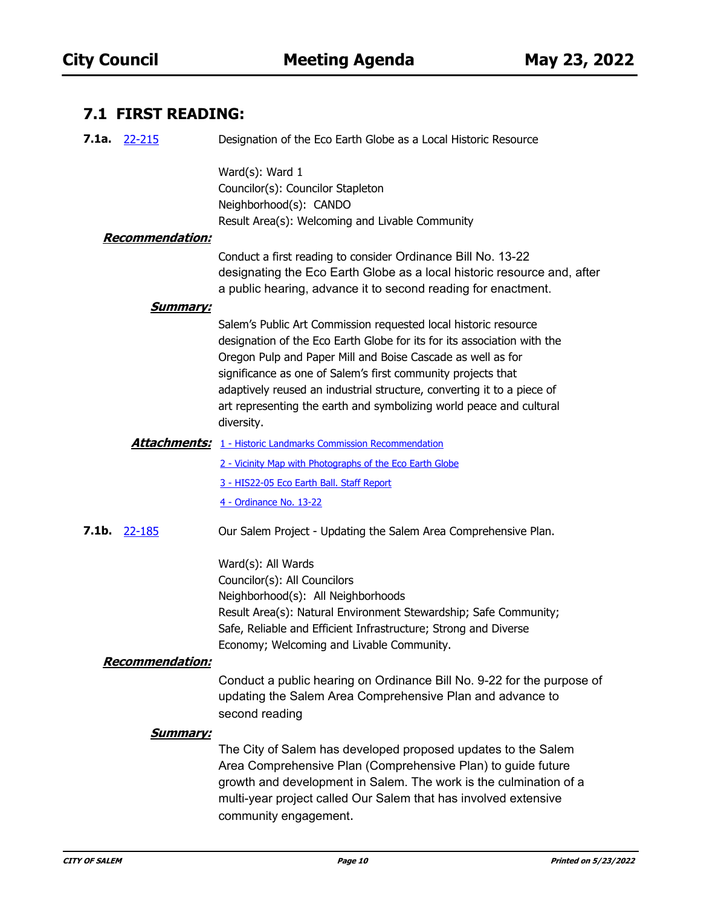### **7.1 FIRST READING:**

| 7.1a. $22-215$         | Designation of the Eco Earth Globe as a Local Historic Resource                                                                                                                                                                                                                                                                                                                                                                          |
|------------------------|------------------------------------------------------------------------------------------------------------------------------------------------------------------------------------------------------------------------------------------------------------------------------------------------------------------------------------------------------------------------------------------------------------------------------------------|
| <b>Recommendation:</b> | Ward(s): Ward 1<br>Councilor(s): Councilor Stapleton<br>Neighborhood(s): CANDO<br>Result Area(s): Welcoming and Livable Community                                                                                                                                                                                                                                                                                                        |
|                        | Conduct a first reading to consider Ordinance Bill No. 13-22<br>designating the Eco Earth Globe as a local historic resource and, after<br>a public hearing, advance it to second reading for enactment.                                                                                                                                                                                                                                 |
| <u>Summary:</u>        | Salem's Public Art Commission requested local historic resource<br>designation of the Eco Earth Globe for its for its association with the<br>Oregon Pulp and Paper Mill and Boise Cascade as well as for<br>significance as one of Salem's first community projects that<br>adaptively reused an industrial structure, converting it to a piece of<br>art representing the earth and symbolizing world peace and cultural<br>diversity. |
|                        | <b>Attachments:</b> 1 - Historic Landmarks Commission Recommendation                                                                                                                                                                                                                                                                                                                                                                     |
|                        | 2 - Vicinity Map with Photographs of the Eco Earth Globe                                                                                                                                                                                                                                                                                                                                                                                 |
|                        | 3 - HIS22-05 Eco Earth Ball. Staff Report<br>4 - Ordinance No. 13-22                                                                                                                                                                                                                                                                                                                                                                     |
| 7.1b. $22 - 185$       | Our Salem Project - Updating the Salem Area Comprehensive Plan.                                                                                                                                                                                                                                                                                                                                                                          |
| <b>Recommendation:</b> | Ward(s): All Wards<br>Councilor(s): All Councilors<br>Neighborhood(s): All Neighborhoods<br>Result Area(s): Natural Environment Stewardship; Safe Community;<br>Safe, Reliable and Efficient Infrastructure; Strong and Diverse<br>Economy; Welcoming and Livable Community.                                                                                                                                                             |
|                        | Conduct a public hearing on Ordinance Bill No. 9-22 for the purpose of<br>updating the Salem Area Comprehensive Plan and advance to<br>second reading                                                                                                                                                                                                                                                                                    |
| <u>Summary:</u>        | The City of Salem has developed proposed updates to the Salem<br>Area Comprehensive Plan (Comprehensive Plan) to guide future<br>growth and development in Salem. The work is the culmination of a<br>multi-year project called Our Salem that has involved extensive<br>community engagement.                                                                                                                                           |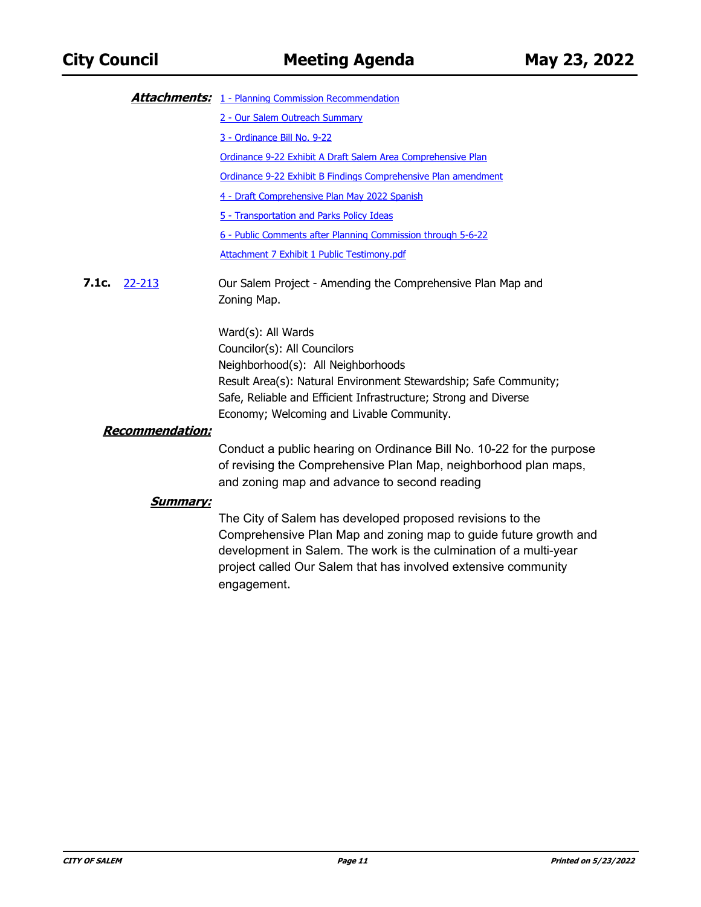|                        | <b>Attachments:</b> 1 - Planning Commission Recommendation                                                                                                                                                                                                                          |  |
|------------------------|-------------------------------------------------------------------------------------------------------------------------------------------------------------------------------------------------------------------------------------------------------------------------------------|--|
|                        | 2 - Our Salem Outreach Summary                                                                                                                                                                                                                                                      |  |
|                        | 3 - Ordinance Bill No. 9-22                                                                                                                                                                                                                                                         |  |
|                        | Ordinance 9-22 Exhibit A Draft Salem Area Comprehensive Plan                                                                                                                                                                                                                        |  |
|                        | Ordinance 9-22 Exhibit B Findings Comprehensive Plan amendment                                                                                                                                                                                                                      |  |
|                        | 4 - Draft Comprehensive Plan May 2022 Spanish                                                                                                                                                                                                                                       |  |
|                        | 5 - Transportation and Parks Policy Ideas                                                                                                                                                                                                                                           |  |
|                        | 6 - Public Comments after Planning Commission through 5-6-22                                                                                                                                                                                                                        |  |
|                        | Attachment 7 Exhibit 1 Public Testimony.pdf                                                                                                                                                                                                                                         |  |
| 7.1c.<br>22-213        | Our Salem Project - Amending the Comprehensive Plan Map and<br>Zoning Map.                                                                                                                                                                                                          |  |
|                        | Ward(s): All Wards                                                                                                                                                                                                                                                                  |  |
|                        | Councilor(s): All Councilors                                                                                                                                                                                                                                                        |  |
|                        | Neighborhood(s): All Neighborhoods                                                                                                                                                                                                                                                  |  |
|                        | Result Area(s): Natural Environment Stewardship; Safe Community;                                                                                                                                                                                                                    |  |
|                        | Safe, Reliable and Efficient Infrastructure; Strong and Diverse<br>Economy; Welcoming and Livable Community.                                                                                                                                                                        |  |
| <b>Recommendation:</b> |                                                                                                                                                                                                                                                                                     |  |
|                        | Conduct a public hearing on Ordinance Bill No. 10-22 for the purpose<br>of revising the Comprehensive Plan Map, neighborhood plan maps,<br>and zoning map and advance to second reading                                                                                             |  |
| <u>Summary:</u>        |                                                                                                                                                                                                                                                                                     |  |
|                        | The City of Salem has developed proposed revisions to the<br>Comprehensive Plan Map and zoning map to guide future growth and<br>development in Salem. The work is the culmination of a multi-year<br>project called Our Salem that has involved extensive community<br>engagement. |  |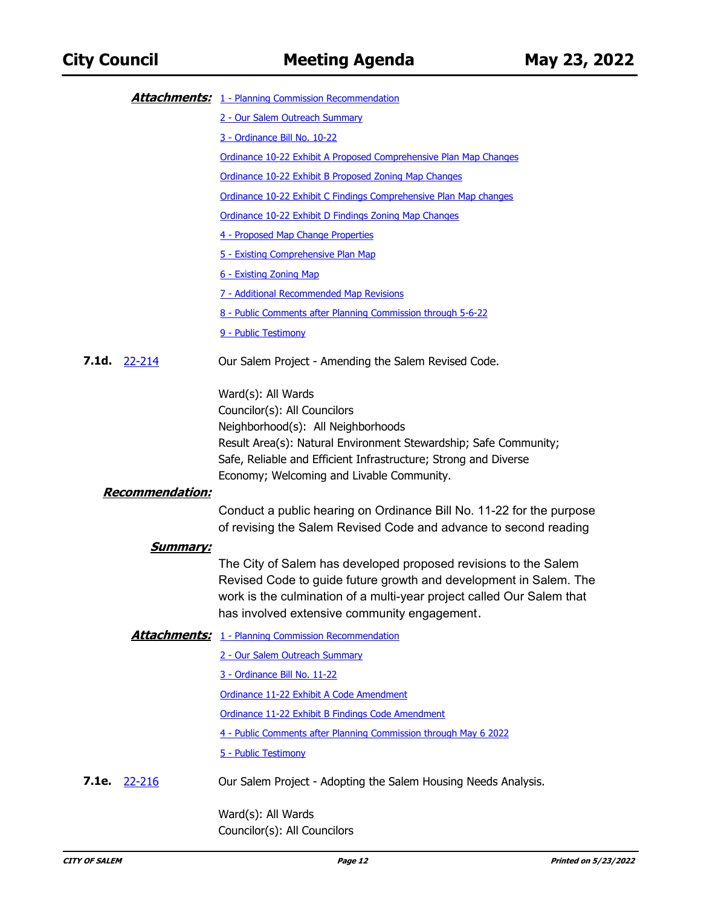|                        | <b>Attachments:</b> 1 - Planning Commission Recommendation                                                                                                                                                                                                    |
|------------------------|---------------------------------------------------------------------------------------------------------------------------------------------------------------------------------------------------------------------------------------------------------------|
|                        | 2 - Our Salem Outreach Summary                                                                                                                                                                                                                                |
|                        | 3 - Ordinance Bill No. 10-22                                                                                                                                                                                                                                  |
|                        | Ordinance 10-22 Exhibit A Proposed Comprehensive Plan Map Changes                                                                                                                                                                                             |
|                        | Ordinance 10-22 Exhibit B Proposed Zoning Map Changes                                                                                                                                                                                                         |
|                        | Ordinance 10-22 Exhibit C Findings Comprehensive Plan Map changes                                                                                                                                                                                             |
|                        | Ordinance 10-22 Exhibit D Findings Zoning Map Changes                                                                                                                                                                                                         |
|                        | 4 - Proposed Map Change Properties                                                                                                                                                                                                                            |
|                        | 5 - Existing Comprehensive Plan Map                                                                                                                                                                                                                           |
|                        | 6 - Existing Zoning Map                                                                                                                                                                                                                                       |
|                        | 7 - Additional Recommended Map Revisions                                                                                                                                                                                                                      |
|                        | 8 - Public Comments after Planning Commission through 5-6-22                                                                                                                                                                                                  |
|                        | 9 - Public Testimony                                                                                                                                                                                                                                          |
| 7.1d. 22-214           | Our Salem Project - Amending the Salem Revised Code.                                                                                                                                                                                                          |
|                        | Ward(s): All Wards<br>Councilor(s): All Councilors<br>Neighborhood(s): All Neighborhoods                                                                                                                                                                      |
|                        | Result Area(s): Natural Environment Stewardship; Safe Community;<br>Safe, Reliable and Efficient Infrastructure; Strong and Diverse<br>Economy; Welcoming and Livable Community.                                                                              |
| <b>Recommendation:</b> |                                                                                                                                                                                                                                                               |
|                        | Conduct a public hearing on Ordinance Bill No. 11-22 for the purpose<br>of revising the Salem Revised Code and advance to second reading                                                                                                                      |
| <b>Summary:</b>        | The City of Salem has developed proposed revisions to the Salem<br>Revised Code to guide future growth and development in Salem. The<br>work is the culmination of a multi-year project called Our Salem that<br>has involved extensive community engagement. |
| <u> Attachments:</u>   | 1 - Planning Commission Recommendation                                                                                                                                                                                                                        |
|                        | 2 - Our Salem Outreach Summary                                                                                                                                                                                                                                |
|                        | 3 - Ordinance Bill No. 11-22                                                                                                                                                                                                                                  |
|                        | Ordinance 11-22 Exhibit A Code Amendment                                                                                                                                                                                                                      |
|                        | Ordinance 11-22 Exhibit B Findings Code Amendment                                                                                                                                                                                                             |
|                        | 4 - Public Comments after Planning Commission through May 6 2022                                                                                                                                                                                              |
|                        | 5 - Public Testimony                                                                                                                                                                                                                                          |
| 7.1e.<br>22-216        | Our Salem Project - Adopting the Salem Housing Needs Analysis.                                                                                                                                                                                                |
|                        | Ward(s): All Wards                                                                                                                                                                                                                                            |

Councilor(s): All Councilors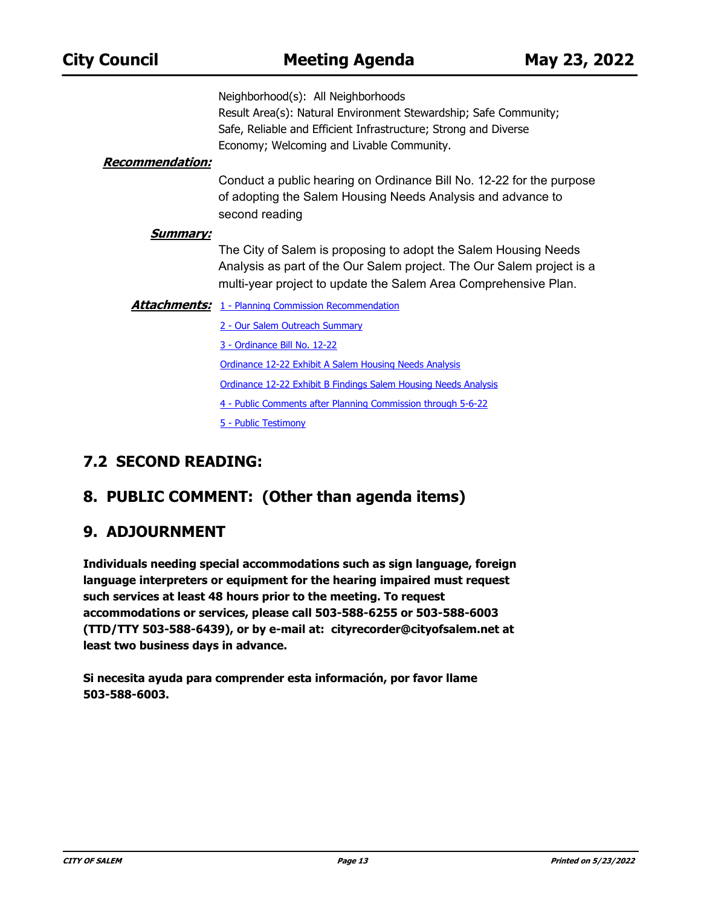Neighborhood(s): All Neighborhoods Result Area(s): Natural Environment Stewardship; Safe Community; Safe, Reliable and Efficient Infrastructure; Strong and Diverse Economy; Welcoming and Livable Community.

#### **Recommendation:**

Conduct a public hearing on Ordinance Bill No. 12-22 for the purpose of adopting the Salem Housing Needs Analysis and advance to second reading

#### **Summary:**

The City of Salem is proposing to adopt the Salem Housing Needs Analysis as part of the Our Salem project. The Our Salem project is a multi-year project to update the Salem Area Comprehensive Plan.

**Attachments:** [1 - Planning Commission Recommendation](http://salem.legistar.com/gateway.aspx?M=F&ID=20501ea4-243f-4693-b413-407b6668bf00.pdf)

- [2 Our Salem Outreach Summary](http://salem.legistar.com/gateway.aspx?M=F&ID=d317caf1-5d05-4f9e-b866-aa955698562b.pdf)
	- [3 Ordinance Bill No. 12-22](http://salem.legistar.com/gateway.aspx?M=F&ID=ad9506b6-16e7-4600-b685-bd0bcadbb4e9.docx)

[Ordinance 12-22 Exhibit A Salem Housing Needs Analysis](http://salem.legistar.com/gateway.aspx?M=F&ID=c0e3c4e0-17e4-4bbb-b1b1-e595650bcdb7.pdf)

[Ordinance 12-22 Exhibit B Findings Salem Housing Needs Analysis](http://salem.legistar.com/gateway.aspx?M=F&ID=3aa1d36b-7d27-44da-ac11-f63f72e2f7ad.pdf)

[4 - Public Comments after Planning Commission through 5-6-22](http://salem.legistar.com/gateway.aspx?M=F&ID=4d2da2db-d896-430a-a3ec-5df48c2c04c4.pdf)

[5 - Public Testimony](http://salem.legistar.com/gateway.aspx?M=F&ID=c1a960e8-cf69-4801-9737-bd29ec9d3d8c.pdf)

### **7.2 SECOND READING:**

### **8. PUBLIC COMMENT: (Other than agenda items)**

### **9. ADJOURNMENT**

**Individuals needing special accommodations such as sign language, foreign language interpreters or equipment for the hearing impaired must request such services at least 48 hours prior to the meeting. To request accommodations or services, please call 503-588-6255 or 503-588-6003 (TTD/TTY 503-588-6439), or by e-mail at: cityrecorder@cityofsalem.net at least two business days in advance.**

**Si necesita ayuda para comprender esta información, por favor llame 503-588-6003.**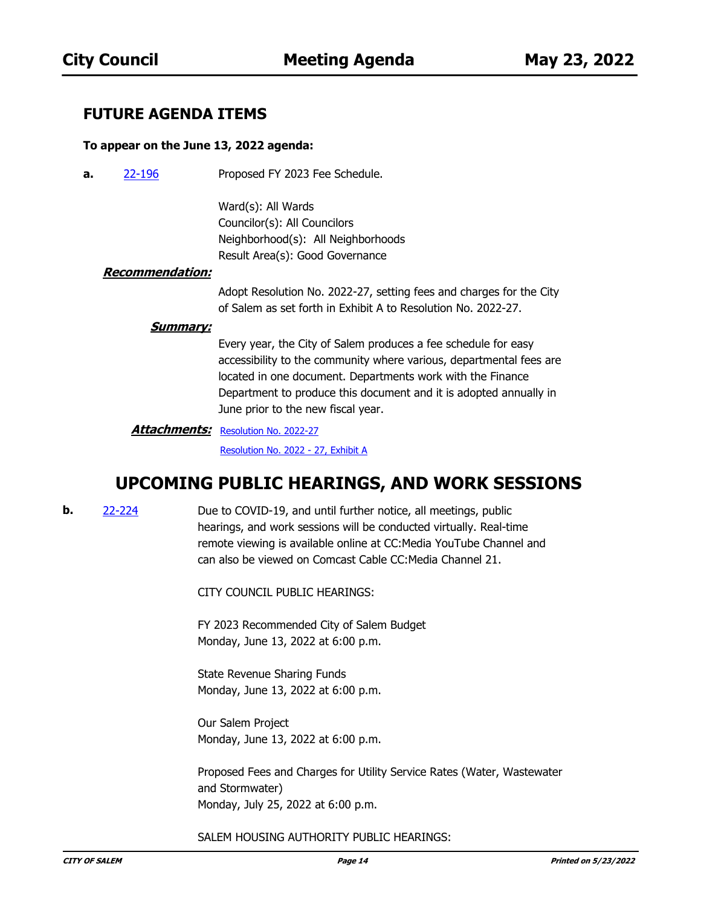### **FUTURE AGENDA ITEMS**

#### **To appear on the June 13, 2022 agenda:**

Proposed FY 2023 Fee Schedule. **a.** [22-196](http://salem.legistar.com/gateway.aspx?m=l&id=/matter.aspx?key=6057)

> Ward(s): All Wards Councilor(s): All Councilors Neighborhood(s): All Neighborhoods Result Area(s): Good Governance

#### **Recommendation:**

Adopt Resolution No. 2022-27, setting fees and charges for the City of Salem as set forth in Exhibit A to Resolution No. 2022-27.

#### **Summary:**

Every year, the City of Salem produces a fee schedule for easy accessibility to the community where various, departmental fees are located in one document. Departments work with the Finance Department to produce this document and it is adopted annually in June prior to the new fiscal year.

**Attachments: [Resolution No. 2022-27](http://salem.legistar.com/gateway.aspx?M=F&ID=2e9a477d-4003-4568-83c0-e9f473a17a29.docx)** [Resolution No. 2022 - 27, Exhibit A](http://salem.legistar.com/gateway.aspx?M=F&ID=7bfd5ead-c8e8-401a-9518-29b05e11865c.pdf)

### **UPCOMING PUBLIC HEARINGS, AND WORK SESSIONS**

**b.** [22-224](http://salem.legistar.com/gateway.aspx?m=l&id=/matter.aspx?key=6085)

Due to COVID-19, and until further notice, all meetings, public hearings, and work sessions will be conducted virtually. Real-time remote viewing is available online at CC:Media YouTube Channel and can also be viewed on Comcast Cable CC:Media Channel 21.

CITY COUNCIL PUBLIC HEARINGS:

FY 2023 Recommended City of Salem Budget Monday, June 13, 2022 at 6:00 p.m.

State Revenue Sharing Funds Monday, June 13, 2022 at 6:00 p.m.

Our Salem Project Monday, June 13, 2022 at 6:00 p.m.

Proposed Fees and Charges for Utility Service Rates (Water, Wastewater and Stormwater) Monday, July 25, 2022 at 6:00 p.m.

#### SALEM HOUSING AUTHORITY PUBLIC HEARINGS: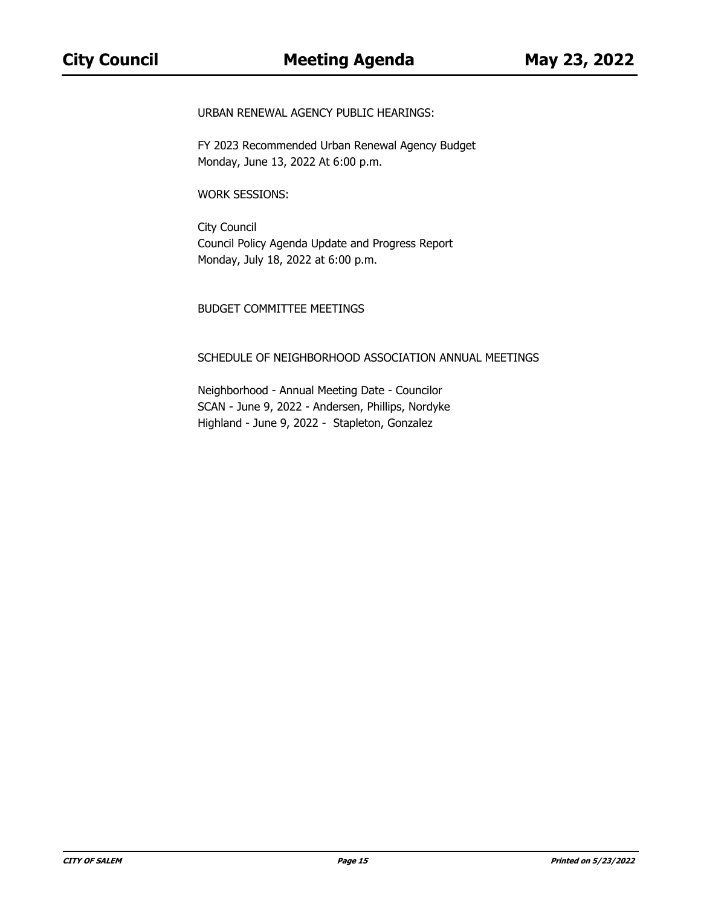URBAN RENEWAL AGENCY PUBLIC HEARINGS:

FY 2023 Recommended Urban Renewal Agency Budget Monday, June 13, 2022 At 6:00 p.m.

WORK SESSIONS:

City Council Council Policy Agenda Update and Progress Report Monday, July 18, 2022 at 6:00 p.m.

#### BUDGET COMMITTEE MEETINGS

#### SCHEDULE OF NEIGHBORHOOD ASSOCIATION ANNUAL MEETINGS

Neighborhood - Annual Meeting Date - Councilor SCAN - June 9, 2022 - Andersen, Phillips, Nordyke Highland - June 9, 2022 - Stapleton, Gonzalez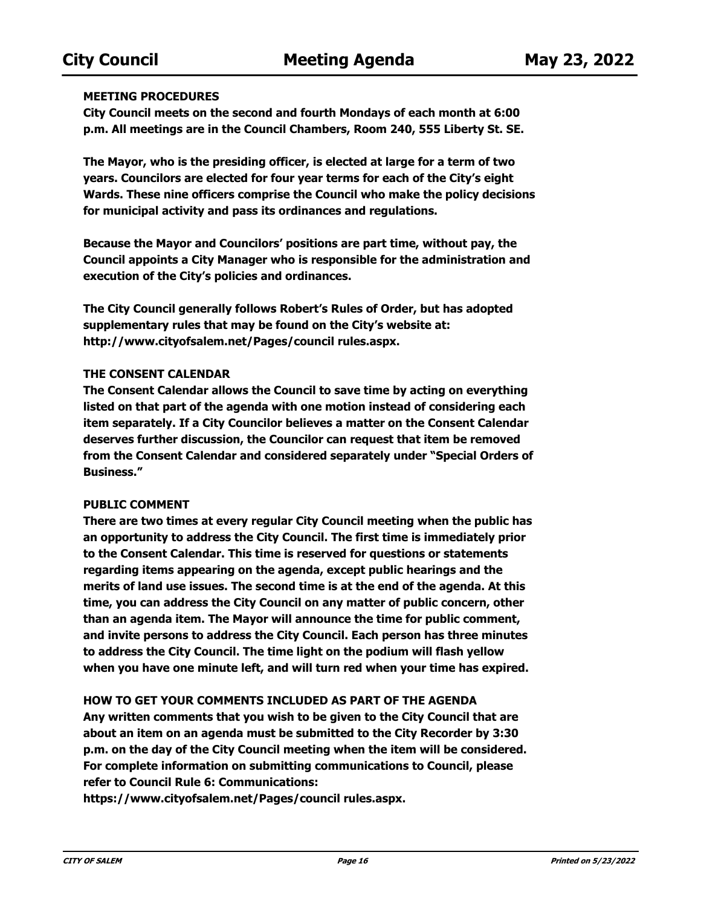#### **MEETING PROCEDURES**

**City Council meets on the second and fourth Mondays of each month at 6:00 p.m. All meetings are in the Council Chambers, Room 240, 555 Liberty St. SE.**

**The Mayor, who is the presiding officer, is elected at large for a term of two years. Councilors are elected for four year terms for each of the City's eight Wards. These nine officers comprise the Council who make the policy decisions for municipal activity and pass its ordinances and regulations.**

**Because the Mayor and Councilors' positions are part time, without pay, the Council appoints a City Manager who is responsible for the administration and execution of the City's policies and ordinances.**

**The City Council generally follows Robert's Rules of Order, but has adopted supplementary rules that may be found on the City's website at: http://www.cityofsalem.net/Pages/council rules.aspx.**

#### **THE CONSENT CALENDAR**

**The Consent Calendar allows the Council to save time by acting on everything listed on that part of the agenda with one motion instead of considering each item separately. If a City Councilor believes a matter on the Consent Calendar deserves further discussion, the Councilor can request that item be removed from the Consent Calendar and considered separately under "Special Orders of Business."**

### **PUBLIC COMMENT**

**There are two times at every regular City Council meeting when the public has an opportunity to address the City Council. The first time is immediately prior to the Consent Calendar. This time is reserved for questions or statements regarding items appearing on the agenda, except public hearings and the merits of land use issues. The second time is at the end of the agenda. At this time, you can address the City Council on any matter of public concern, other than an agenda item. The Mayor will announce the time for public comment, and invite persons to address the City Council. Each person has three minutes to address the City Council. The time light on the podium will flash yellow when you have one minute left, and will turn red when your time has expired.**

### **HOW TO GET YOUR COMMENTS INCLUDED AS PART OF THE AGENDA**

**Any written comments that you wish to be given to the City Council that are about an item on an agenda must be submitted to the City Recorder by 3:30 p.m. on the day of the City Council meeting when the item will be considered. For complete information on submitting communications to Council, please refer to Council Rule 6: Communications:** 

**https://www.cityofsalem.net/Pages/council rules.aspx.**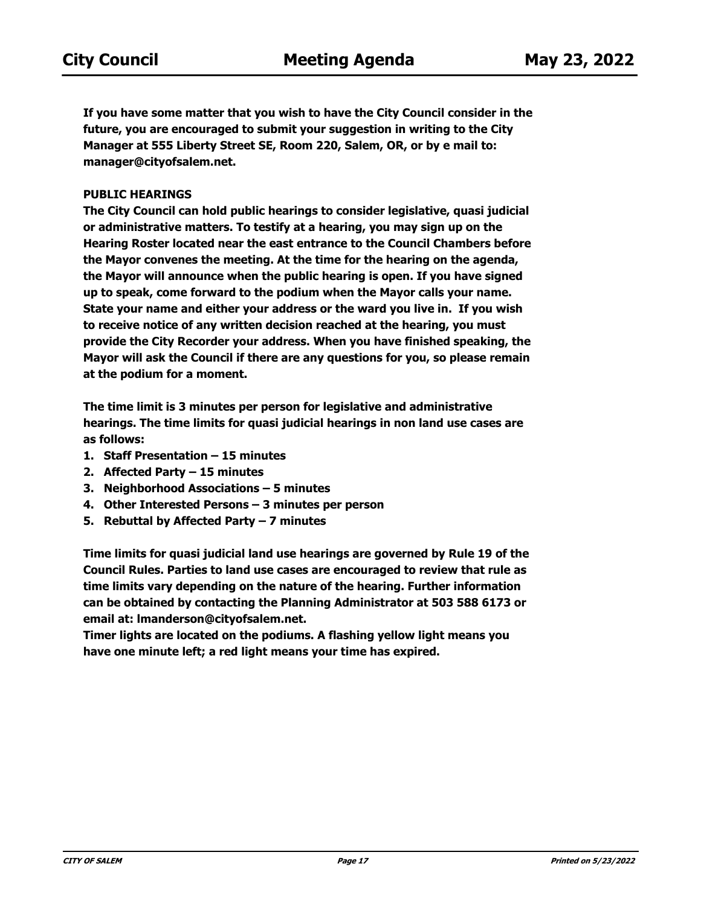**If you have some matter that you wish to have the City Council consider in the future, you are encouraged to submit your suggestion in writing to the City Manager at 555 Liberty Street SE, Room 220, Salem, OR, or by e mail to: manager@cityofsalem.net.**

#### **PUBLIC HEARINGS**

**The City Council can hold public hearings to consider legislative, quasi judicial or administrative matters. To testify at a hearing, you may sign up on the Hearing Roster located near the east entrance to the Council Chambers before the Mayor convenes the meeting. At the time for the hearing on the agenda, the Mayor will announce when the public hearing is open. If you have signed up to speak, come forward to the podium when the Mayor calls your name. State your name and either your address or the ward you live in. If you wish to receive notice of any written decision reached at the hearing, you must provide the City Recorder your address. When you have finished speaking, the Mayor will ask the Council if there are any questions for you, so please remain at the podium for a moment.**

**The time limit is 3 minutes per person for legislative and administrative hearings. The time limits for quasi judicial hearings in non land use cases are as follows:**

- **1. Staff Presentation 15 minutes**
- **2. Affected Party 15 minutes**
- **3. Neighborhood Associations 5 minutes**
- **4. Other Interested Persons 3 minutes per person**
- **5. Rebuttal by Affected Party 7 minutes**

**Time limits for quasi judicial land use hearings are governed by Rule 19 of the Council Rules. Parties to land use cases are encouraged to review that rule as time limits vary depending on the nature of the hearing. Further information can be obtained by contacting the Planning Administrator at 503 588 6173 or email at: lmanderson@cityofsalem.net.**

**Timer lights are located on the podiums. A flashing yellow light means you have one minute left; a red light means your time has expired.**